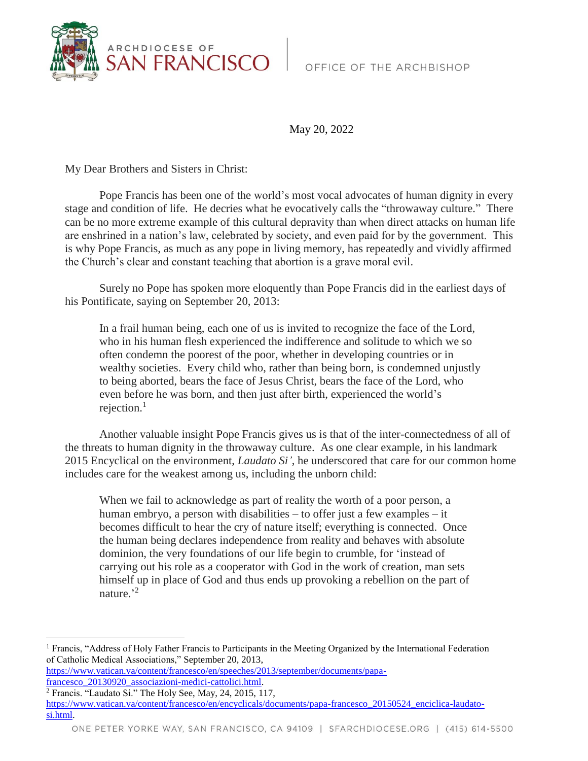

May 20, 2022

My Dear Brothers and Sisters in Christ:

Pope Francis has been one of the world's most vocal advocates of human dignity in every stage and condition of life. He decries what he evocatively calls the "throwaway culture." There can be no more extreme example of this cultural depravity than when direct attacks on human life are enshrined in a nation's law, celebrated by society, and even paid for by the government. This is why Pope Francis, as much as any pope in living memory, has repeatedly and vividly affirmed the Church's clear and constant teaching that abortion is a grave moral evil.

Surely no Pope has spoken more eloquently than Pope Francis did in the earliest days of his Pontificate, saying on September 20, 2013:

In a frail human being, each one of us is invited to recognize the face of the Lord, who in his human flesh experienced the indifference and solitude to which we so often condemn the poorest of the poor, whether in developing countries or in wealthy societies. Every child who, rather than being born, is condemned unjustly to being aborted, bears the face of Jesus Christ, bears the face of the Lord, who even before he was born, and then just after birth, experienced the world's rejection. $1$ 

Another valuable insight Pope Francis gives us is that of the inter-connectedness of all of the threats to human dignity in the throwaway culture. As one clear example, in his landmark 2015 Encyclical on the environment, *Laudato Si'*, he underscored that care for our common home includes care for the weakest among us, including the unborn child:

When we fail to acknowledge as part of reality the worth of a poor person, a human embryo, a person with disabilities – to offer just a few examples – it becomes difficult to hear the cry of nature itself; everything is connected. Once the human being declares independence from reality and behaves with absolute dominion, the very foundations of our life begin to crumble, for 'instead of carrying out his role as a cooperator with God in the work of creation, man sets himself up in place of God and thus ends up provoking a rebellion on the part of nature.'<sup>2</sup>

<sup>2</sup> Francis. "Laudato Si." The Holy See, May, 24, 2015, 117,

 $\overline{a}$ 

[https://www.vatican.va/content/francesco/en/encyclicals/documents/papa-francesco\\_20150524\\_enciclica-laudato](https://www.vatican.va/content/francesco/en/encyclicals/documents/papa-francesco_20150524_enciclica-laudato-si.html)[si.html.](https://www.vatican.va/content/francesco/en/encyclicals/documents/papa-francesco_20150524_enciclica-laudato-si.html)

<sup>1</sup> Francis, "Address of Holy Father Francis to Participants in the Meeting Organized by the International Federation of Catholic Medical Associations," September 20, 2013,

[https://www.vatican.va/content/francesco/en/speeches/2013/september/documents/papa](https://www.vatican.va/content/francesco/en/speeches/2013/september/documents/papa-francesco_20130920_associazioni-medici-cattolici.html)[francesco\\_20130920\\_associazioni-medici-cattolici.html.](https://www.vatican.va/content/francesco/en/speeches/2013/september/documents/papa-francesco_20130920_associazioni-medici-cattolici.html)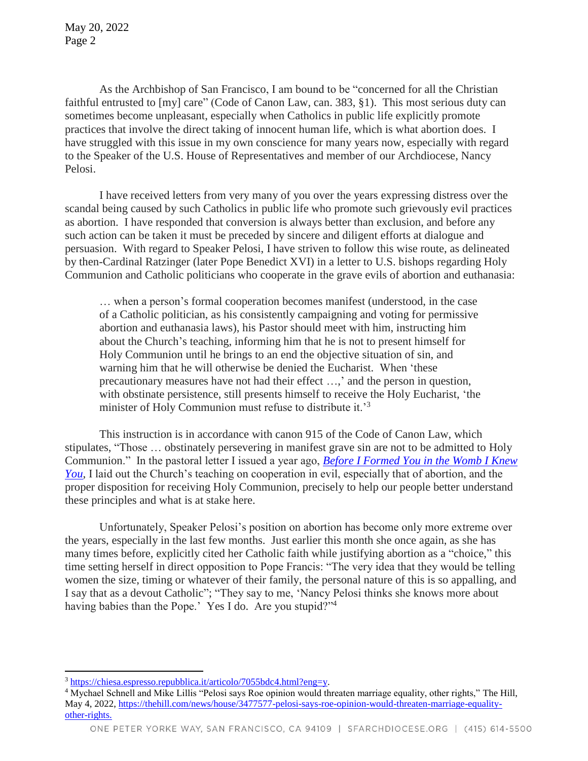May 20, 2022 Page 2

As the Archbishop of San Francisco, I am bound to be "concerned for all the Christian faithful entrusted to [my] care" (Code of Canon Law, can. 383, §1). This most serious duty can sometimes become unpleasant, especially when Catholics in public life explicitly promote practices that involve the direct taking of innocent human life, which is what abortion does. I have struggled with this issue in my own conscience for many years now, especially with regard to the Speaker of the U.S. House of Representatives and member of our Archdiocese, Nancy Pelosi.

I have received letters from very many of you over the years expressing distress over the scandal being caused by such Catholics in public life who promote such grievously evil practices as abortion. I have responded that conversion is always better than exclusion, and before any such action can be taken it must be preceded by sincere and diligent efforts at dialogue and persuasion. With regard to Speaker Pelosi, I have striven to follow this wise route, as delineated by then-Cardinal Ratzinger (later Pope Benedict XVI) in a letter to U.S. bishops regarding Holy Communion and Catholic politicians who cooperate in the grave evils of abortion and euthanasia:

… when a person's formal cooperation becomes manifest (understood, in the case of a Catholic politician, as his consistently campaigning and voting for permissive abortion and euthanasia laws), his Pastor should meet with him, instructing him about the Church's teaching, informing him that he is not to present himself for Holy Communion until he brings to an end the objective situation of sin, and warning him that he will otherwise be denied the Eucharist. When 'these precautionary measures have not had their effect …,' and the person in question, with obstinate persistence, still presents himself to receive the Holy Eucharist, 'the minister of Holy Communion must refuse to distribute it.<sup>3</sup>

This instruction is in accordance with canon 915 of the Code of Canon Law, which stipulates, "Those … obstinately persevering in manifest grave sin are not to be admitted to Holy Communion." In the pastoral letter I issued a year ago, *[Before I Formed You in the Womb I Knew](https://www.sfarchdiocese.org/inthewomb/)  [You](https://www.sfarchdiocese.org/inthewomb/)*, I laid out the Church's teaching on cooperation in evil, especially that of abortion, and the proper disposition for receiving Holy Communion, precisely to help our people better understand these principles and what is at stake here.

Unfortunately, Speaker Pelosi's position on abortion has become only more extreme over the years, especially in the last few months. Just earlier this month she once again, as she has many times before, explicitly cited her Catholic faith while justifying abortion as a "choice," this time setting herself in direct opposition to Pope Francis: "The very idea that they would be telling women the size, timing or whatever of their family, the personal nature of this is so appalling, and I say that as a devout Catholic"; "They say to me, 'Nancy Pelosi thinks she knows more about having babies than the Pope.' Yes I do. Are you stupid?"<sup>4</sup>

l

<sup>3</sup> [https://chiesa.espresso.repubblica.it/articolo/7055bdc4.html?eng=y.](https://chiesa.espresso.repubblica.it/articolo/7055bdc4.html?eng=y)

<sup>4</sup> Mychael Schnell and Mike Lillis "Pelosi says Roe opinion would threaten marriage equality, other rights," The Hill, May 4, 2022, https://thehill.com/news/house/3477577-pelosi-says-roe-opinion-would-threaten-marriage-equalityother-rights.